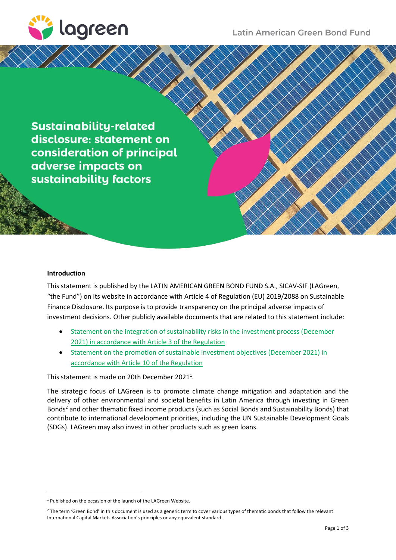

**Sustainability-related** disclosure: statement on consideration of principal adverse impacts on sustainability factors

## **Introduction**

This statement is published by the LATIN AMERICAN GREEN BOND FUND S.A., SICAV-SIF (LAGreen, "the Fund") on its website in accordance with Article 4 of Regulation (EU) 2019/2088 on Sustainable Finance Disclosure. Its purpose is to provide transparency on the principal adverse impacts of investment decisions. Other publicly available documents that are related to this statement include:

- [Statement on the integration of sustainability risks in the investment process \(December](https://lagreen.lu/wp-content/uploads/2021/12/LAGreen_SFDR_SR_Dec-2021-1.pdf) [2021\) in accordance with Article 3 of the Regulation](https://lagreen.lu/wp-content/uploads/2021/12/LAGreen_SFDR_SR_Dec-2021-1.pdf)
- [Statement on the promotion of sustainable investment objectives \(December](https://lagreen.lu/wp-content/uploads/2021/12/LAGreen_SFDR_SIO_Dec-2021-1.pdf) 2021) in [accordance with Article 10 of the Regulation](https://lagreen.lu/wp-content/uploads/2021/12/LAGreen_SFDR_SIO_Dec-2021-1.pdf)

This statement is made on 20th December 2021<sup>1</sup>.

The strategic focus of LAGreen is to promote climate change mitigation and adaptation and the delivery of other environmental and societal benefits in Latin America through investing in Green Bonds<sup>2</sup> and other thematic fixed income products (such as Social Bonds and Sustainability Bonds) that contribute to international development priorities, including the UN Sustainable Development Goals (SDGs). LAGreen may also invest in other products such as green loans.

<sup>1</sup> Published on the occasion of the launch of the LAGreen Website.

<sup>&</sup>lt;sup>2</sup> The term 'Green Bond' in this document is used as a generic term to cover various types of thematic bonds that follow the relevant International Capital Markets Association's principles or any equivalent standard.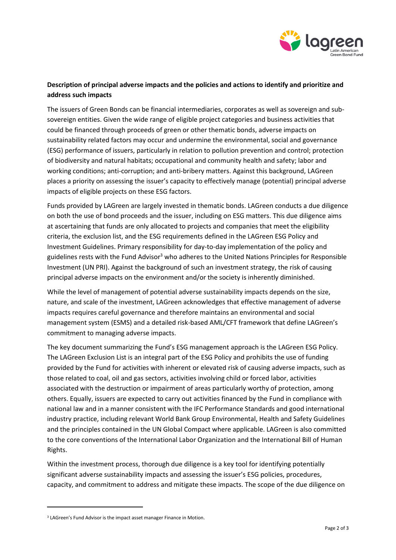

## **Description of principal adverse impacts and the policies and actions to identify and prioritize and address such impacts**

The issuers of Green Bonds can be financial intermediaries, corporates as well as sovereign and subsovereign entities. Given the wide range of eligible project categories and business activities that could be financed through proceeds of green or other thematic bonds, adverse impacts on sustainability related factors may occur and undermine the environmental, social and governance (ESG) performance of issuers, particularly in relation to pollution prevention and control; protection of biodiversity and natural habitats; occupational and community health and safety; labor and working conditions; anti-corruption; and anti-bribery matters. Against this background, LAGreen places a priority on assessing the issuer's capacity to effectively manage (potential) principal adverse impacts of eligible projects on these ESG factors.

Funds provided by LAGreen are largely invested in thematic bonds. LAGreen conducts a due diligence on both the use of bond proceeds and the issuer, including on ESG matters. This due diligence aims at ascertaining that funds are only allocated to projects and companies that meet the eligibility criteria, the exclusion list, and the ESG requirements defined in the LAGreen ESG Policy and Investment Guidelines. Primary responsibility for day-to-day implementation of the policy and guidelines rests with the Fund Advisor<sup>3</sup> who adheres to the United Nations Principles for Responsible Investment (UN PRI). Against the background of such an investment strategy, the risk of causing principal adverse impacts on the environment and/or the society is inherently diminished.

While the level of management of potential adverse sustainability impacts depends on the size, nature, and scale of the investment, LAGreen acknowledges that effective management of adverse impacts requires careful governance and therefore maintains an environmental and social management system (ESMS) and a detailed risk-based AML/CFT framework that define LAGreen's commitment to managing adverse impacts.

The key document summarizing the Fund's ESG management approach is the LAGreen ESG Policy. The LAGreen Exclusion List is an integral part of the ESG Policy and prohibits the use of funding provided by the Fund for activities with inherent or elevated risk of causing adverse impacts, such as those related to coal, oil and gas sectors, activities involving child or forced labor, activities associated with the destruction or impairment of areas particularly worthy of protection, among others. Equally, issuers are expected to carry out activities financed by the Fund in compliance with national law and in a manner consistent with the IFC Performance Standards and good international industry practice, including relevant World Bank Group Environmental, Health and Safety Guidelines and the principles contained in the UN Global Compact where applicable. LAGreen is also committed to the core conventions of the International Labor Organization and the International Bill of Human Rights.

Within the investment process, thorough due diligence is a key tool for identifying potentially significant adverse sustainability impacts and assessing the issuer's ESG policies, procedures, capacity, and commitment to address and mitigate these impacts. The scope of the due diligence on

<sup>&</sup>lt;sup>3</sup> LAGreen's Fund Advisor is the impact asset manager Finance in Motion.